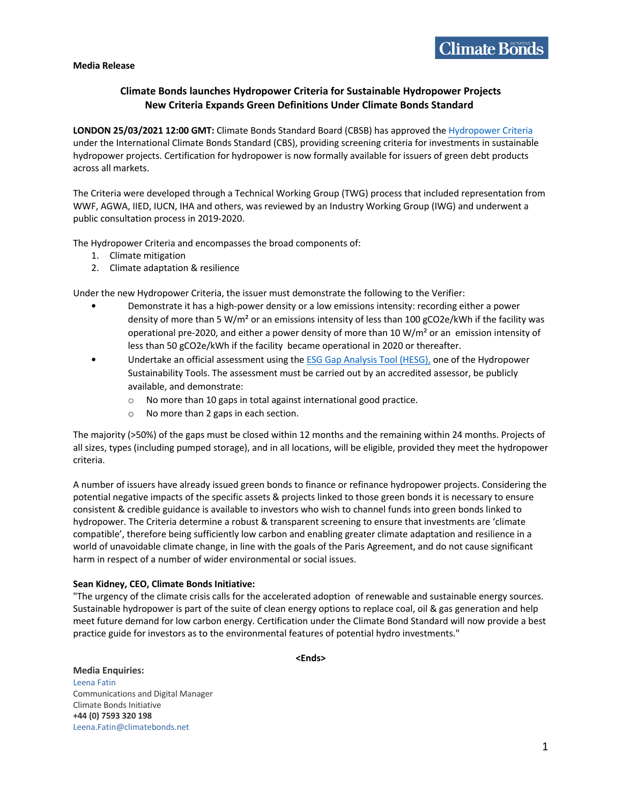**Media Release** 

# **Climate Bonds launches Hydropower Criteria for Sustainable Hydropower Projects New Criteria Expands Green Definitions Under Climate Bonds Standard**

**LONDON 25/03/2021 12:00 GMT:** Climate Bonds Standard Board (CBSB) has approved the Hydropower Criteria under the International Climate Bonds Standard (CBS), providing screening criteria for investments in sustainable hydropower projects. Certification for hydropower is now formally available for issuers of green debt products across all markets.

The Criteria were developed through a Technical Working Group (TWG) process that included representation from WWF, AGWA, IIED, IUCN, IHA and others, was reviewed by an Industry Working Group (IWG) and underwent a public consultation process in 2019-2020.

The Hydropower Criteria and encompasses the broad components of:

- 1. Climate mitigation
- 2. Climate adaptation & resilience

Under the new Hydropower Criteria, the issuer must demonstrate the following to the Verifier:

- Demonstrate it has a high-power density or a low emissions intensity: recording either a power density of more than 5 W/m<sup>2</sup> or an emissions intensity of less than 100 gCO2e/kWh if the facility was operational pre-2020, and either a power density of more than 10  $W/m<sup>2</sup>$  or an emission intensity of less than 50 gCO2e/kWh if the facility became operational in 2020 or thereafter.
- Undertake an official assessment using the ESG Gap Analysis Tool (HESG), one of the Hydropower Sustainability Tools. The assessment must be carried out by an accredited assessor, be publicly available, and demonstrate:
	- o No more than 10 gaps in total against international good practice.
	- o No more than 2 gaps in each section.

The majority (>50%) of the gaps must be closed within 12 months and the remaining within 24 months. Projects of all sizes, types (including pumped storage), and in all locations, will be eligible, provided they meet the hydropower criteria.

A number of issuers have already issued green bonds to finance or refinance hydropower projects. Considering the potential negative impacts of the specific assets & projects linked to those green bonds it is necessary to ensure consistent & credible guidance is available to investors who wish to channel funds into green bonds linked to hydropower. The Criteria determine a robust & transparent screening to ensure that investments are 'climate compatible', therefore being sufficiently low carbon and enabling greater climate adaptation and resilience in a world of unavoidable climate change, in line with the goals of the Paris Agreement, and do not cause significant harm in respect of a number of wider environmental or social issues.

#### **Sean Kidney, CEO, Climate Bonds Initiative:**

"The urgency of the climate crisis calls for the accelerated adoption of renewable and sustainable energy sources. Sustainable hydropower is part of the suite of clean energy options to replace coal, oil & gas generation and help meet future demand for low carbon energy. Certification under the Climate Bond Standard will now provide a best practice guide for investors as to the environmental features of potential hydro investments."

**<Ends>**

**Media Enquiries:**  Leena Fatin Communications and Digital Manager Climate Bonds Initiative **+44 (0) 7593 320 198** Leena.Fatin@climatebonds.net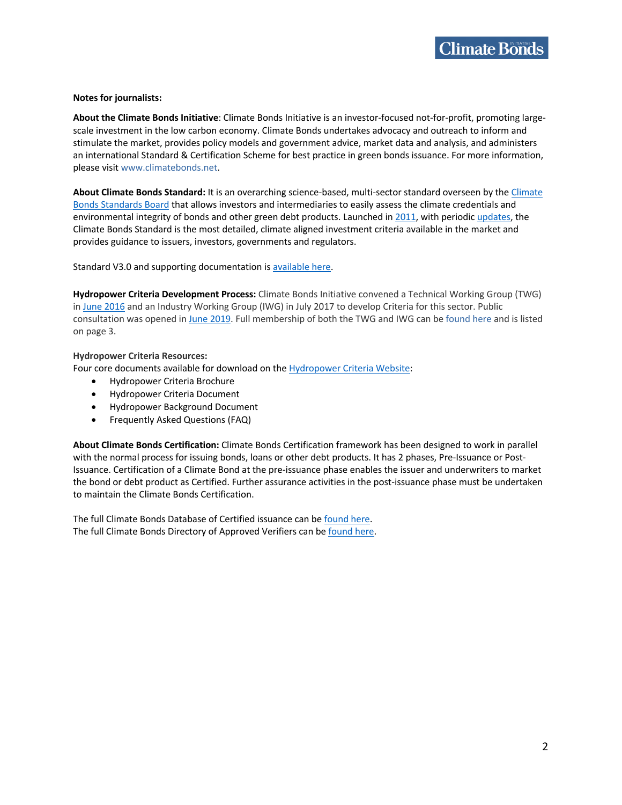## **Notes for journalists:**

**About the Climate Bonds Initiative**: Climate Bonds Initiative is an investor-focused not-for-profit, promoting largescale investment in the low carbon economy. Climate Bonds undertakes advocacy and outreach to inform and stimulate the market, provides policy models and government advice, market data and analysis, and administers an international Standard & Certification Scheme for best practice in green bonds issuance. For more information, please visit www.climatebonds.net.

**About Climate Bonds Standard:** It is an overarching science-based, multi-sector standard overseen by the Climate Bonds Standards Board that allows investors and intermediaries to easily assess the climate credentials and environmental integrity of bonds and other green debt products. Launched in 2011, with periodic updates, the Climate Bonds Standard is the most detailed, climate aligned investment criteria available in the market and provides guidance to issuers, investors, governments and regulators.

Standard V3.0 and supporting documentation is available here.

**Hydropower Criteria Development Process:** Climate Bonds Initiative convened a Technical Working Group (TWG) in June 2016 and an Industry Working Group (IWG) in July 2017 to develop Criteria for this sector. Public consultation was opened in June 2019. Full membership of both the TWG and IWG can be found here and is listed on page 3.

# **Hydropower Criteria Resources:**

Four core documents available for download on the Hydropower Criteria Website:

- Hydropower Criteria Brochure
- Hydropower Criteria Document
- Hydropower Background Document
- Frequently Asked Questions (FAQ)

**About Climate Bonds Certification:** Climate Bonds Certification framework has been designed to work in parallel with the normal process for issuing bonds, loans or other debt products. It has 2 phases, Pre-Issuance or Post-Issuance. Certification of a Climate Bond at the pre-issuance phase enables the issuer and underwriters to market the bond or debt product as Certified. Further assurance activities in the post-issuance phase must be undertaken to maintain the Climate Bonds Certification.

The full Climate Bonds Database of Certified issuance can be found here. The full Climate Bonds Directory of Approved Verifiers can be found here.